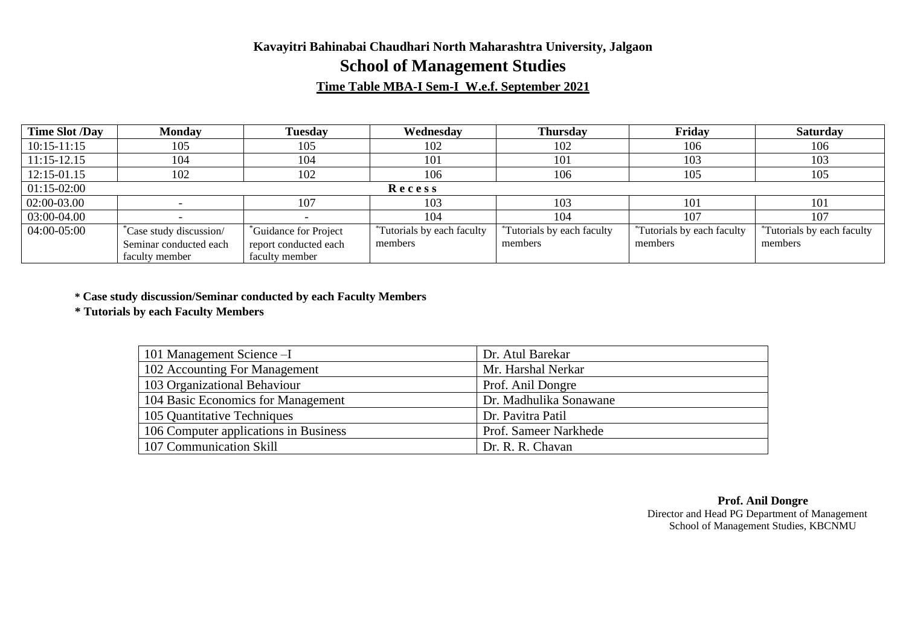## **Kavayitri Bahinabai Chaudhari North Maharashtra University, Jalgaon School of Management Studies**

### **Time Table MBA-I Sem-I W.e.f. September 2021**

| <b>Time Slot /Day</b> | <b>Monday</b>          | <b>Tuesdav</b>                    | Wednesday                              | <b>Thursday</b>                        | Friday                            | <b>Saturday</b>           |
|-----------------------|------------------------|-----------------------------------|----------------------------------------|----------------------------------------|-----------------------------------|---------------------------|
| $10:15 - 11:15$       | 105                    | 105                               | 102                                    | 102                                    | 106                               | 106                       |
| $11:15-12.15$         | 104                    | 104                               | 101                                    | 101                                    | 103                               | 103                       |
| 12:15-01.15           | 102                    | 102                               | 106                                    | 106                                    | 105                               | 105                       |
| $01:15-02:00$         |                        |                                   | Recess                                 |                                        |                                   |                           |
| 02:00-03.00           |                        | 107                               | 103                                    | 103                                    | 101                               | 101                       |
| 03:00-04.00           |                        |                                   | 104                                    | 104                                    | 107                               | 107                       |
| 04:00-05:00           | Case study discussion/ | <sup>*</sup> Guidance for Project | <sup>*</sup> Tutorials by each faculty | <sup>*</sup> Tutorials by each faculty | <i>*Tutorials by each faculty</i> | Tutorials by each faculty |
|                       | Seminar conducted each | report conducted each             | members                                | members                                | members                           | members                   |
|                       | faculty member         | faculty member                    |                                        |                                        |                                   |                           |

**\* Case study discussion/Seminar conducted by each Faculty Members**

**\* Tutorials by each Faculty Members**

| 101 Management Science -I             | Dr. Atul Barekar       |
|---------------------------------------|------------------------|
| 102 Accounting For Management         | Mr. Harshal Nerkar     |
| 103 Organizational Behaviour          | Prof. Anil Dongre      |
| 104 Basic Economics for Management    | Dr. Madhulika Sonawane |
| 105 Quantitative Techniques           | Dr. Pavitra Patil      |
| 106 Computer applications in Business | Prof. Sameer Narkhede  |
| 107 Communication Skill               | Dr. R. R. Chavan       |

**Prof. Anil Dongre** Director and Head PG Department of Management School of Management Studies, KBCNMU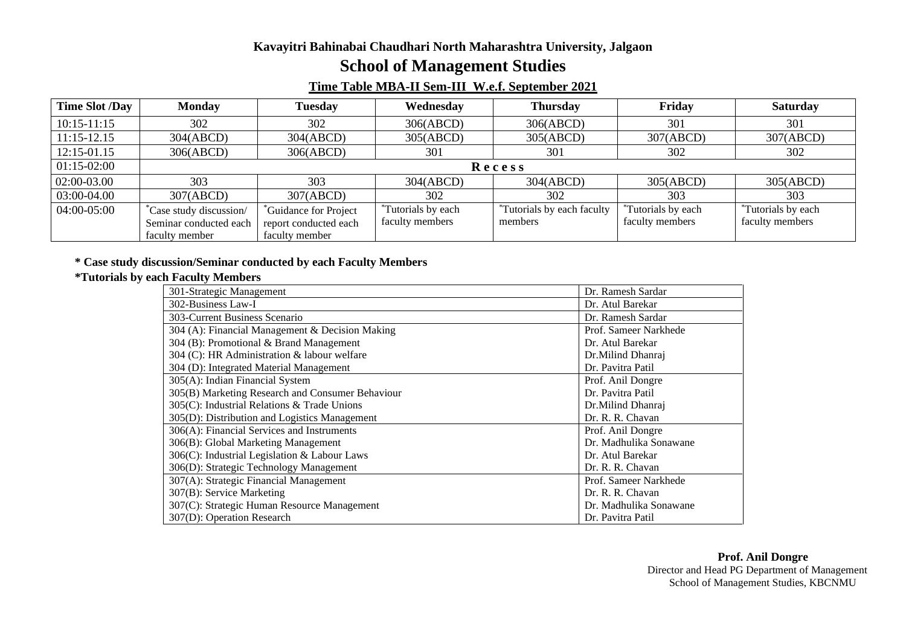#### **Kavayitri Bahinabai Chaudhari North Maharashtra University, Jalgaon**

# **School of Management Studies**

### **Time Table MBA-II Sem-III W.e.f. September 2021**

| <b>Time Slot /Day</b> | <b>Monday</b>                | Tuesday               | Wednesday                      | <b>Thursday</b>                    | Friday                         | <b>Saturday</b>                |
|-----------------------|------------------------------|-----------------------|--------------------------------|------------------------------------|--------------------------------|--------------------------------|
| $10:15 - 11:15$       | 302                          | 302                   | 306(ABCD)                      | 306(ABCD)                          | 301                            | 301                            |
| $11:15-12.15$         | 304(ABCD)                    | 304(ABCD)             | 305(ABCD)                      | 305(ABCD)                          | 307(ABCD)                      | 307(ABCD)                      |
| 12:15-01.15           | 306(ABCD)                    | 306(ABCD)             | 301                            | 301                                | 302                            | 302                            |
| $01:15-02:00$         |                              | Recess                |                                |                                    |                                |                                |
| 02:00-03.00           | 303                          | 303                   | 304(ABCD)                      | 304(ABCD)                          | 305(ABCD)                      | 305(ABCD)                      |
| 03:00-04.00           | 307(ABCD)                    | 307(ABCD)             | 302                            | 302                                | 303                            | 303                            |
| 04:00-05:00           | <i>Case study discussion</i> | Guidance for Project  | <sup>*</sup> Tutorials by each | <i>i</i> Tutorials by each faculty | <sup>*</sup> Tutorials by each | <sup>*</sup> Tutorials by each |
|                       | Seminar conducted each       | report conducted each | faculty members                | members                            | faculty members                | faculty members                |
|                       | faculty member               | faculty member        |                                |                                    |                                |                                |

#### **\* Case study discussion/Seminar conducted by each Faculty Members**

#### **\*Tutorials by each Faculty Members**

| 301-Strategic Management                         | Dr. Ramesh Sardar      |
|--------------------------------------------------|------------------------|
| 302-Business Law-I                               | Dr. Atul Barekar       |
| 303-Current Business Scenario                    | Dr. Ramesh Sardar      |
| 304 (A): Financial Management & Decision Making  | Prof. Sameer Narkhede  |
| 304 (B): Promotional & Brand Management          | Dr. Atul Barekar       |
| 304 (C): HR Administration & labour welfare      | Dr.Milind Dhanraj      |
| 304 (D): Integrated Material Management          | Dr. Pavitra Patil      |
| 305(A): Indian Financial System                  | Prof. Anil Dongre      |
| 305(B) Marketing Research and Consumer Behaviour | Dr. Pavitra Patil      |
| 305(C): Industrial Relations & Trade Unions      | Dr.Milind Dhanraj      |
| 305(D): Distribution and Logistics Management    | Dr. R. R. Chavan       |
| 306(A): Financial Services and Instruments       | Prof. Anil Dongre      |
| 306(B): Global Marketing Management              | Dr. Madhulika Sonawane |
| 306(C): Industrial Legislation & Labour Laws     | Dr. Atul Barekar       |
| 306(D): Strategic Technology Management          | Dr. R. R. Chavan       |
| 307(A): Strategic Financial Management           | Prof. Sameer Narkhede  |
| 307(B): Service Marketing                        | Dr. R. R. Chavan       |
| 307(C): Strategic Human Resource Management      | Dr. Madhulika Sonawane |
| 307(D): Operation Research                       | Dr. Pavitra Patil      |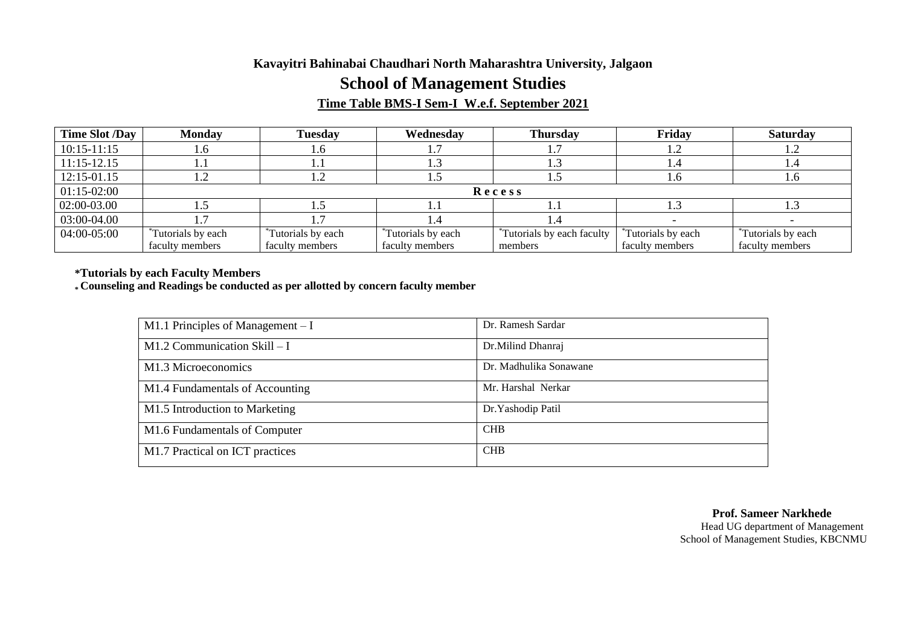#### **Kavayitri Bahinabai Chaudhari North Maharashtra University, Jalgaon**

# **School of Management Studies**

### **Time Table BMS-I Sem-I W.e.f. September 2021**

| Time Slot /Day  | <b>Monday</b>                  | <b>Tuesday</b>                 | Wednesday                 | <b>Thursday</b>           | Friday                    | <b>Saturday</b>           |
|-----------------|--------------------------------|--------------------------------|---------------------------|---------------------------|---------------------------|---------------------------|
| $10:15 - 11:15$ | .6 <sub>1</sub>                | 1.0                            |                           |                           | 1.2                       | 1.4                       |
| $11:15-12.15$   |                                |                                |                           |                           | I .4                      |                           |
| 12:15-01.15     |                                |                                | . . پ                     |                           | 1.6                       | 1.6                       |
| $01:15-02:00$   | Recess                         |                                |                           |                           |                           |                           |
| 02:00-03.00     |                                |                                |                           |                           | 1.3                       |                           |
| 03:00-04.00     |                                |                                |                           |                           |                           |                           |
| 04:00-05:00     | <sup>*</sup> Tutorials by each | <sup>*</sup> Tutorials by each | <i>*Tutorials by each</i> | Tutorials by each faculty | <i>*Tutorials by each</i> | <i>*Tutorials by each</i> |
|                 | faculty members                | faculty members                | faculty members           | members                   | faculty members           | faculty members           |

**\*Tutorials by each Faculty Members**

**\* Counseling and Readings be conducted as per allotted by concern faculty member**

| M1.1 Principles of Management $-I$ | Dr. Ramesh Sardar      |
|------------------------------------|------------------------|
| M1.2 Communication Skill $-I$      | Dr.Milind Dhanraj      |
| M1.3 Microeconomics                | Dr. Madhulika Sonawane |
| M1.4 Fundamentals of Accounting    | Mr. Harshal Nerkar     |
| M1.5 Introduction to Marketing     | Dr. Yashodip Patil     |
| M1.6 Fundamentals of Computer      | <b>CHB</b>             |
| M1.7 Practical on ICT practices    | <b>CHB</b>             |

 **Prof. Sameer Narkhede** Head UG department of Management School of Management Studies, KBCNMU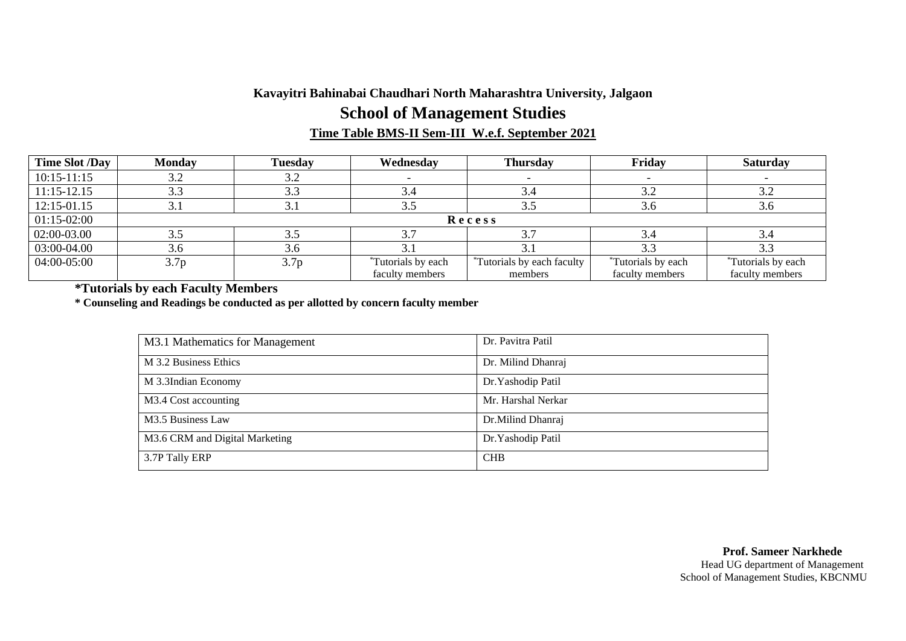## **Kavayitri Bahinabai Chaudhari North Maharashtra University, Jalgaon School of Management Studies Time Table BMS-II Sem-III W.e.f. September 2021**

| <b>Time Slot /Day</b> | <b>Monday</b>         | <b>Tuesday</b> | Wednesday                 | <b>Thursday</b>                        | Friday             | <b>Saturday</b>                |
|-----------------------|-----------------------|----------------|---------------------------|----------------------------------------|--------------------|--------------------------------|
| $10:15-11:15$         | $J \cdot \mathcal{L}$ | 3.2            |                           |                                        |                    |                                |
| $11:15-12.15$         | 3.3                   | 3.3            | 3.4                       | 3.4                                    | 3.2                | 3.2                            |
| 12:15-01.15           | J.I                   | 3.1            | 3.5                       | 3.5                                    | 3.6                | 3.6                            |
| $01:15-02:00$         | Recess                |                |                           |                                        |                    |                                |
| 02:00-03.00           | 3.5                   | 3.5            | 3.7                       | $\mathfrak{I}$ .                       | 3.4                | 3.4                            |
| 03:00-04.00           | 3.6                   | 3.6            |                           |                                        | 3.3                |                                |
| 04:00-05:00           | 3.7 <sub>p</sub>      | 3.7p           | <i>*Tutorials by each</i> | <sup>*</sup> Tutorials by each faculty | *Tutorials by each | <sup>*</sup> Tutorials by each |
|                       |                       |                | faculty members           | members                                | faculty members    | faculty members                |

**\*Tutorials by each Faculty Members**

**\* Counseling and Readings be conducted as per allotted by concern faculty member**

| M3.1 Mathematics for Management | Dr. Pavitra Patil  |
|---------------------------------|--------------------|
| M 3.2 Business Ethics           | Dr. Milind Dhanraj |
| M 3.3Indian Economy             | Dr. Yashodip Patil |
| M3.4 Cost accounting            | Mr. Harshal Nerkar |
| M3.5 Business Law               | Dr. Milind Dhanraj |
| M3.6 CRM and Digital Marketing  | Dr. Yashodip Patil |
| 3.7P Tally ERP                  | <b>CHB</b>         |

#### **Prof. Sameer Narkhede** Head UG department of Management School of Management Studies, KBCNMU